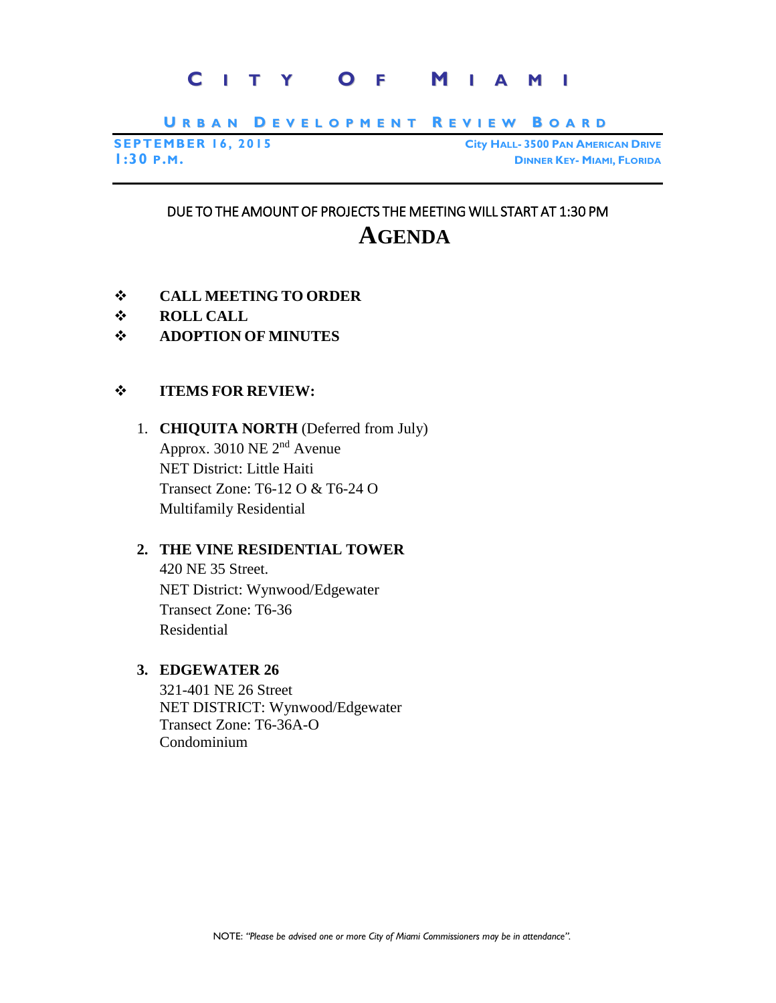# **C I T Y O F M I A M I**

URBAN DEVELOPMENT REVIEW BOARD

**SEPTEMBER 16, 2015 City HALL- 3500 PAN AMERICAN DRIVE 1:30 P.M. DINNER KEY- MIAMI, FLORIDA**

# DUE TO THE AMOUNT OF PROJECTS THE MEETING WILL START AT 1:30 PM **AGENDA**

- **CALL MEETING TO ORDER**
- **ROLL CALL**
- **ADOPTION OF MINUTES**

### **ITEMS FOR REVIEW:**

## 1. **CHIQUITA NORTH** (Deferred from July) Approx. 3010 NE 2nd Avenue NET District: Little Haiti Transect Zone: T6-12 O & T6-24 O Multifamily Residential

### **2. THE VINE RESIDENTIAL TOWER**

420 NE 35 Street. NET District: Wynwood/Edgewater Transect Zone: T6-36 Residential

## **3. EDGEWATER 26**

321-401 NE 26 Street NET DISTRICT: Wynwood/Edgewater Transect Zone: T6-36A-O Condominium